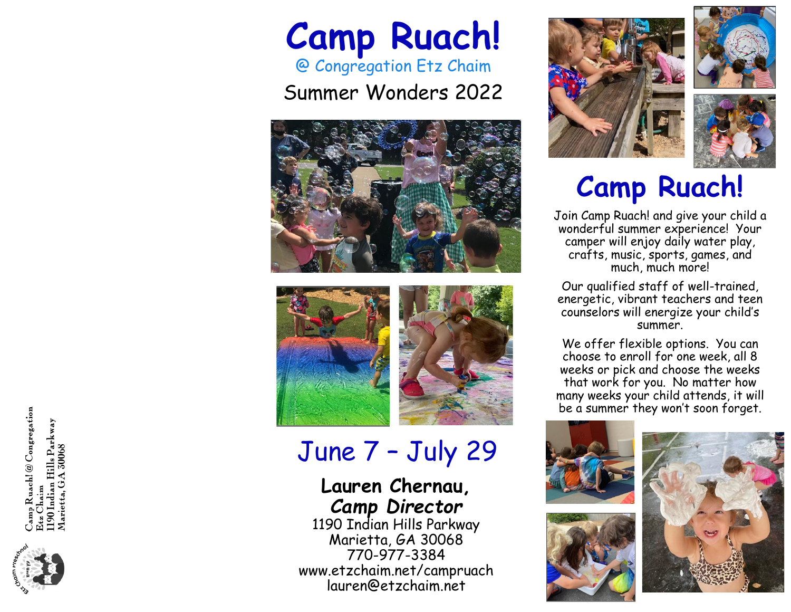## **Camp Ruach!** @ Congregation Etz Chaim

Summer Wonders 2022







## June 7 – July 29

#### **Lauren Chernau,**  *Camp Director*

1190 Indian Hills Parkway Marietta, GA 30068 770-977-3384 [www.etzchaim.net/campruach](http://www.etzchaim.net/campruach)  lauren@etzchaim.net







## **Camp Ruach!**

Join Camp Ruach! and give your child a wonderful summer experience! Your camper will enjoy daily water play, crafts, music, sports, games, and much, much more!

Our qualified staff of well-trained, energetic, vibrant teachers and teen counselors will energize your child's summer.

We offer flexible options. You can choose to enroll for one week, all 8 weeks or pick and choose the weeks that work for you. No matter how many weeks your child attends, it will be a summer they won't soon forget.





nmp Ruach! @ Congregation<br>tz Chaim 190 Indian Hills Parkway<br>Marietta, GA 30068